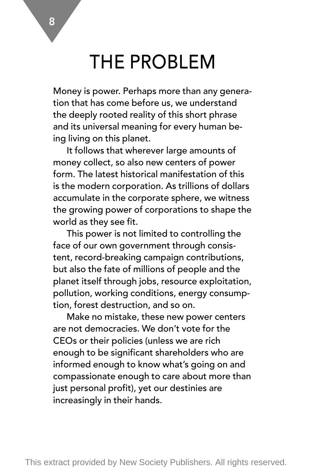### THE PROBLEM

Money is power. Perhaps more than any generation that has come before us, we understand the deeply rooted reality of this short phrase and its universal meaning for every human being living on this planet.

It follows that wherever large amounts of money collect, so also new centers of power form. The latest historical manifestation of this is the modern corporation. As trillions of dollars accumulate in the corporate sphere, we witness the growing power of corporations to shape the world as they see fit.

This power is not limited to controlling the face of our own government through consistent, record-breaking campaign contributions, but also the fate of millions of people and the planet itself through jobs, resource exploitation, pollution, working conditions, energy consumption, forest destruction, and so on.

Make no mistake, these new power centers are not democracies. We don't vote for the CEOs or their policies (unless we are rich enough to be significant shareholders who are informed enough to know what's going on and compassionate enough to care about more than just personal profit), yet our destinies are increasingly in their hands.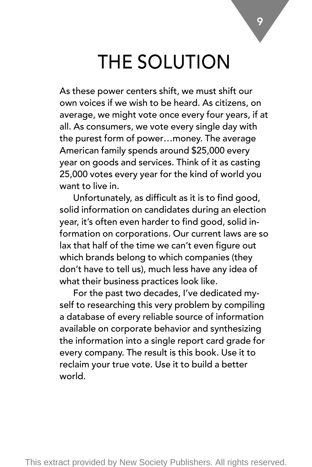### THE SOLUTION

As these power centers shift, we must shift our own voices if we wish to be heard. As citizens, on average, we might vote once every four years, if at all. As consumers, we vote every single day with the purest form of power…money. The average American family spends around \$25,000 every year on goods and services. Think of it as casting 25,000 votes every year for the kind of world you want to live in.

Unfortunately, as difficult as it is to find good, solid information on candidates during an election year, it's often even harder to find good, solid information on corporations. Our current laws are so lax that half of the time we can't even figure out which brands belong to which companies (they don't have to tell us), much less have any idea of what their business practices look like.

For the past two decades, I've dedicated myself to researching this very problem by compiling a database of every reliable source of information available on corporate behavior and synthesizing the information into a single report card grade for every company. The result is this book. Use it to reclaim your true vote. Use it to build a better world.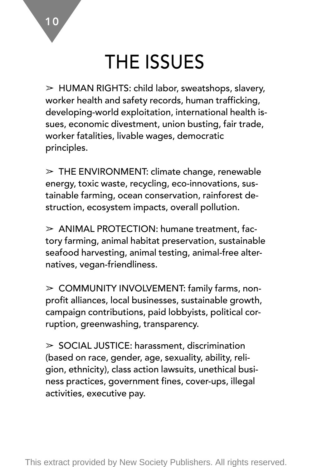### THE ISSUES

 $\triangleright$  HUMAN RIGHTS: child labor, sweatshops, slavery, worker health and safety records, human trafficking, developing-world exploitation, international health issues, economic divestment, union busting, fair trade, worker fatalities, livable wages, democratic principles.

 $\triangleright$  THE ENVIRONMENT: climate change, renewable energy, toxic waste, recycling, eco-innovations, sustainable farming, ocean conservation, rainforest destruction, ecosystem impacts, overall pollution.

 $\geq$  ANIMAL PROTECTION: humane treatment, factory farming, animal habitat preservation, sustainable seafood harvesting, animal testing, animal-free alternatives, vegan-friendliness.

 $\geq$  COMMUNITY INVOLVEMENT: family farms, nonprofit alliances, local businesses, sustainable growth, campaign contributions, paid lobbyists, political corruption, greenwashing, transparency.

 $>$  SOCIAL JUSTICE: harassment, discrimination (based on race, gender, age, sexuality, ability, religion, ethnicity), class action lawsuits, unethical business practices, government fines, cover-ups, illegal activities, executive pay.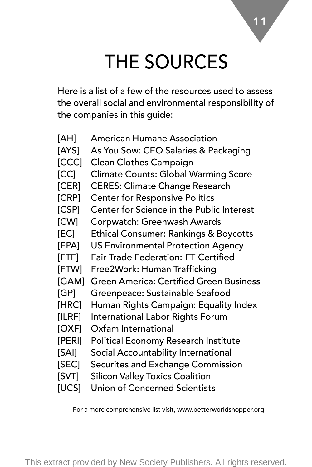### THE SOURCES

11

Here is a list of a few of the resources used to assess the overall social and environmental responsibility of the companies in this guide:

- [AH] American Humane Association
- [AYS] As You Sow: CEO Salaries & Packaging
- [CCC] Clean Clothes Campaign
- [CC] Climate Counts: Global Warming Score
- [CER] CERES: Climate Change Research
- [CRP] Center for Responsive Politics
- [CSP] Center for Science in the Public Interest
- [CW] Corpwatch: Greenwash Awards
- [EC] Ethical Consumer: Rankings & Boycotts
- [EPA] US Environmental Protection Agency
- [FTF] Fair Trade Federation: FT Certified
- [FTW] Free2Work: Human Trafficking
- [GAM] Green America: Certified Green Business
- [GP] Greenpeace: Sustainable Seafood
- [HRC] Human Rights Campaign: Equality Index
- [ILRF] International Labor Rights Forum
- [OXF] Oxfam International
- [PERI] Political Economy Research Institute
- [SAI] Social Accountability International
- [SEC] Securites and Exchange Commission
- [SVT] Silicon Valley Toxics Coalition
- [UCS] Union of Concerned Scientists

For a more comprehensive list visit, www.betterworldshopper.org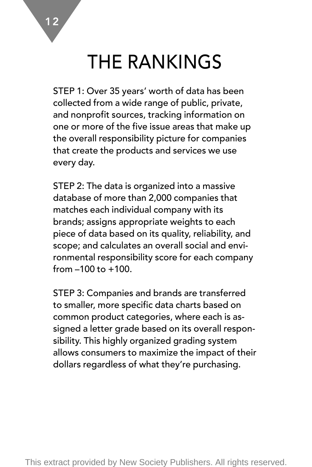### THE RANKINGS

STEP 1: Over 35 years' worth of data has been collected from a wide range of public, private, and nonprofit sources, tracking information on one or more of the five issue areas that make up the overall responsibility picture for companies that create the products and services we use every day.

STEP 2: The data is organized into a massive database of more than 2,000 companies that matches each individual company with its brands; assigns appropriate weights to each piece of data based on its quality, reliability, and scope; and calculates an overall social and environmental responsibility score for each company from  $-100$  to  $+100$ .

STEP 3: Companies and brands are transferred to smaller, more specific data charts based on common product categories, where each is assigned a letter grade based on its overall responsibility. This highly organized grading system allows consumers to maximize the impact of their dollars regardless of what they're purchasing.

12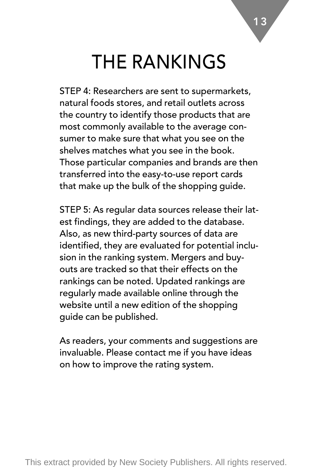### THE RANKINGS

STEP 4: Researchers are sent to supermarkets, natural foods stores, and retail outlets across the country to identify those products that are most commonly available to the average consumer to make sure that what you see on the shelves matches what you see in the book. Those particular companies and brands are then transferred into the easy-to-use report cards that make up the bulk of the shopping guide.

STEP 5: As regular data sources release their latest findings, they are added to the database. Also, as new third-party sources of data are identified, they are evaluated for potential inclusion in the ranking system. Mergers and buyouts are tracked so that their effects on the rankings can be noted. Updated rankings are regularly made available online through the website until a new edition of the shopping guide can be published.

As readers, your comments and suggestions are invaluable. Please contact me if you have ideas on how to improve the rating system.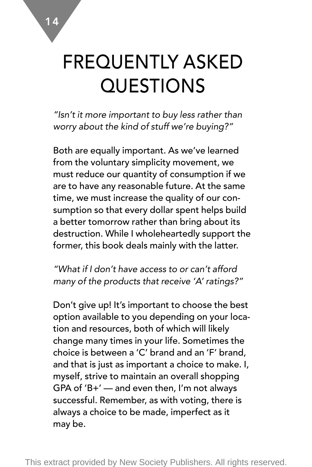# FREQUENTLY ASKED QUESTIONS

*"Isn't it more important to buy less rather than worry about the kind of stuff we're buying?"*

Both are equally important. As we've learned from the voluntary simplicity movement, we must reduce our quantity of consumption if we are to have any reasonable future. At the same time, we must increase the quality of our consumption so that every dollar spent helps build a better tomorrow rather than bring about its destruction. While I wholeheartedly support the former, this book deals mainly with the latter.

*"What if I don't have access to or can't afford many of the products that receive 'A' ratings?"*

Don't give up! It's important to choose the best option available to you depending on your location and resources, both of which will likely change many times in your life. Sometimes the choice is between a 'C' brand and an 'F' brand, and that is just as important a choice to make. I, myself, strive to maintain an overall shopping GPA of 'B+' — and even then, I'm not always successful. Remember, as with voting, there is always a choice to be made, imperfect as it may be.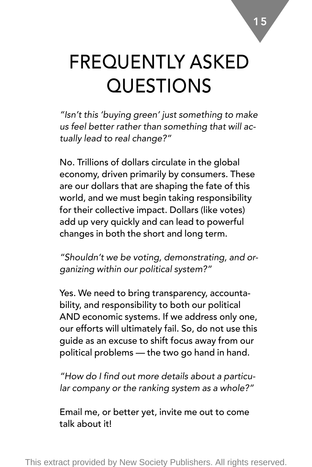# FREQUENTLY ASKED QUESTIONS

*"Isn't this 'buying green' just something to make us feel better rather than something that will actually lead to real change?"*

No. Trillions of dollars circulate in the global economy, driven primarily by consumers. These are our dollars that are shaping the fate of this world, and we must begin taking responsibility for their collective impact. Dollars (like votes) add up very quickly and can lead to powerful changes in both the short and long term.

*"Shouldn't we be voting, demonstrating, and organizing within our political system?"*

Yes. We need to bring transparency, accountability, and responsibility to both our political AND economic systems. If we address only one, our efforts will ultimately fail. So, do not use this guide as an excuse to shift focus away from our political problems — the two go hand in hand.

*"How do I find out more details about a particular company or the ranking system as a whole?"*

Email me, or better yet, invite me out to come talk about it!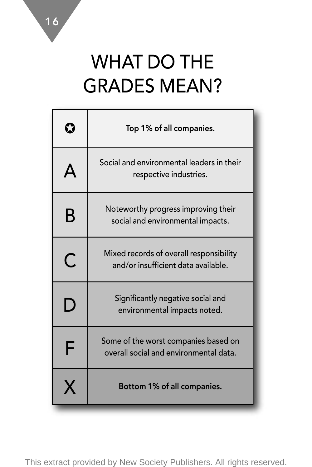## WHAT DO THE GRADES MEAN?

|   | Top 1% of all companies.                                                       |
|---|--------------------------------------------------------------------------------|
|   | Social and environmental leaders in their<br>respective industries.            |
| B | Noteworthy progress improving their<br>social and environmental impacts.       |
| С | Mixed records of overall responsibility<br>and/or insufficient data available. |
| D | Significantly negative social and<br>environmental impacts noted.              |
| F | Some of the worst companies based on<br>overall social and environmental data. |
|   | Bottom 1% of all companies.                                                    |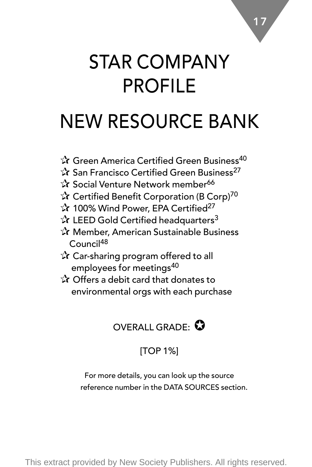### STAR COMPANY PROFILE

17

### NEW RESOURCE BANK

- ✰ Green America Certified Green Business<sup>40</sup>
- **☆ San Francisco Certified Green Business**<sup>27</sup>
- ✰ Social Venture Network member<sup>66</sup>
- ✰ Certified Benefit Corporation (B Corp)<sup>70</sup>
- ✰ 100% Wind Power, EPA Certified27
- $\mathbf{\hat{x}}$  LEED Gold Certified headquarters<sup>3</sup>
- ✰ Member, American Sustainable Business Council48
- ✰ Car-sharing program offered to all employees for meetings<sup>40</sup>
- ✰ Offers a debit card that donates to environmental orgs with each purchase



### [TOP 1%]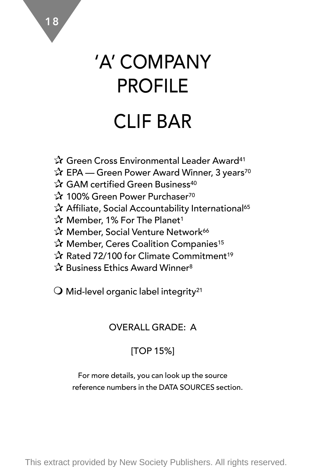# 'A' COMPANY PROFILE CLIF BAR

- ✰ Green Cross Environmental Leader Award41
- ✰ EPA Green Power Award Winner, 3 years70
- ✰ GAM certified Green Business40
- ✰ 100% Green Power Purchaser70
- ✰ Affiliate, Social Accountability International65
- ✰ Member, 1% For The Planet1
- ✰ Member, Social Venture Network66
- ✰ Member, Ceres Coalition Companies15
- ✰ Rated 72/100 for Climate Commitment19
- ✰ Business Ethics Award Winner8

 $\bigcirc$  Mid-level organic label integrity<sup>21</sup>

### OVERALL GRADE: A

### [TOP 15%]

For more details, you can look up the source reference numbers in the DATA SOURCES section.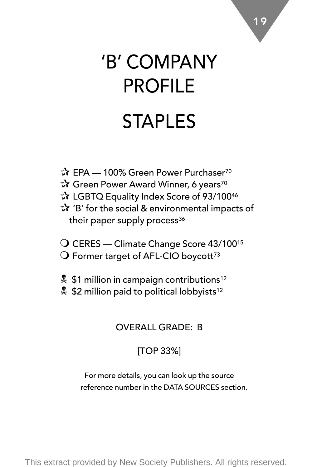# 'B' COMPANY PROFILE STAPLES

- ✰ EPA 100% Green Power Purchaser70 ✰ Green Power Award Winner, 6 years70 ✰ LGBTQ Equality Index Score of 93/10046 ✰ 'B' for the social & environmental impacts of their paper supply process<sup>36</sup>
- O CERES Climate Change Score 43/100<sup>15</sup>  $\bigcirc$  Former target of AFL-CIO boycott<sup>73</sup>
- $\frac{1}{2}$  \$1 million in campaign contributions<sup>12</sup>
- \$2 million paid to political lobbyists<sup>12</sup>

### OVERALL GRADE: B

### [TOP 33%]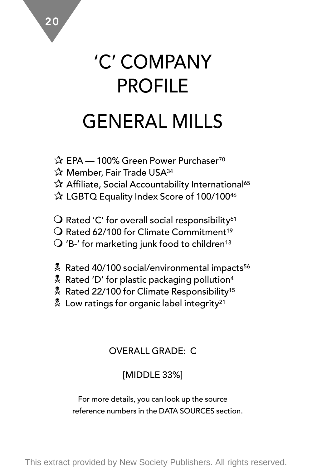# 'C' COMPANY PROFILE GENERAL MILLS

- ✰ EPA 100% Green Power Purchaser70
- ✰ Member, Fair Trade USA34
- ✰ Affiliate, Social Accountability International65
- ✰ LGBTQ Equality Index Score of 100/10046
- $\bigcirc$  Rated 'C' for overall social responsibility<sup>61</sup>
- $\Omega$  Rated 62/100 for Climate Commitment<sup>19</sup>
- $\mathsf{Q}$  'B-' for marketing junk food to children<sup>13</sup>
- & Rated 40/100 social/environmental impacts<sup>56</sup>
- $\stackrel{\bullet}{\bullet}$  Rated 'D' for plastic packaging pollution<sup>4</sup>
- Rated 22/100 for Climate Responsibility<sup>15</sup>
- $\frac{1}{2}$  Low ratings for organic label integrity<sup>21</sup>

### OVERALL GRADE: C

### [MIDDLE 33%]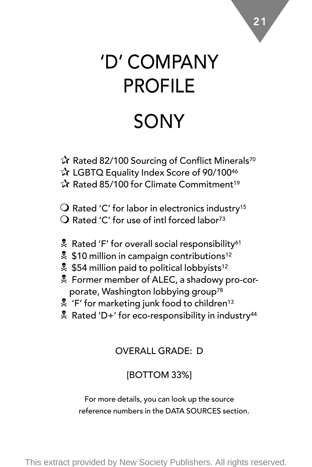# 'D' COMPANY PROFILE SONY

- ✰ Rated 82/100 Sourcing of Conflict Minerals70 ✰ LGBTQ Equality Index Score of 90/10046 ✰ Rated 85/100 for Climate Commitment19
- $\bigcirc$  Rated 'C' for labor in electronics industry<sup>15</sup>  $\Omega$  Rated 'C' for use of intl forced labor<sup>73</sup>
- 
- $\frac{1}{2}$  Rated 'F' for overall social responsibility<sup>61</sup>
- \$10 million in campaign contributions<sup>12</sup>
- $$54$  million paid to political lobbyists<sup>12</sup>
- N Former member of ALEC, a shadowy pro-corporate, Washington lobbying group<sup>78</sup>
- $\frac{1}{2}$  'F' for marketing junk food to children<sup>13</sup>
- $\stackrel{\bullet}{\sim}$  Rated 'D+' for eco-responsibility in industry<sup>44</sup>

#### OVERALL GRADE: D

### [BOTTOM 33%]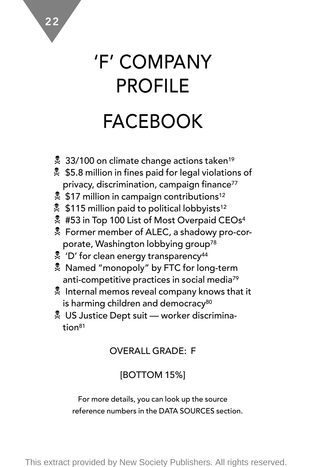# 'F' COMPANY PROFILE FACEBOOK

22

- **2** 33/100 on climate change actions taken<sup>19</sup>
- \$5.8 million in fines paid for legal violations of privacy, discrimination, campaign finance<sup>77</sup>
- \$17 million in campaign contributions<sup>12</sup>
- $\frac{1}{2}$  \$115 million paid to political lobbyists<sup>12</sup>
- **#53 in Top 100 List of Most Overpaid CEOs4**
- N Former member of ALEC, a shadowy pro-corporate, Washington lobbying group78
- $\frac{1}{2}$  'D' for clean energy transparency<sup>44</sup>
- **A** Named "monopoly" by FTC for long-term anti-competitive practices in social media79
- $\frac{1}{2}$  Internal memos reveal company knows that it is harming children and democracy<sup>80</sup>
- **WE US Justice Dept suit worker discrimina**tion81

### OVERALL GRADE: F

### [BOTTOM 15%]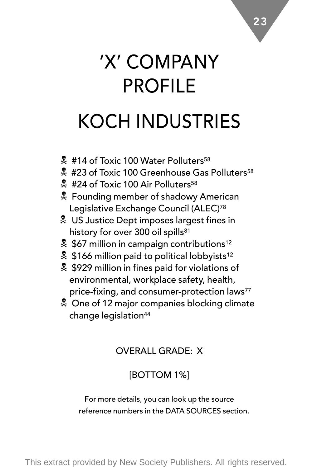# 'X' COMPANY PROFILE KOCH INDUSTRIES

- $*$  #14 of Toxic 100 Water Polluters<sup>58</sup>
- $$$ #23 of Toxic 100 Greenhouse Gas Polluters<sup>58</sup>
- $\frac{1}{24}$  #24 of Toxic 100 Air Polluters<sup>58</sup>
- **E** Founding member of shadowy American Legislative Exchange Council (ALEC)78
- **& US Justice Dept imposes largest fines in** history for over 300 oil spills<sup>81</sup>
- $$67$  million in campaign contributions<sup>12</sup>
- \$166 million paid to political lobbyists<sup>12</sup>
- \$\$929 million in fines paid for violations of environmental, workplace safety, health, price-fixing, and consumer-protection laws<sup>77</sup>
- **E** One of 12 major companies blocking climate change legislation<sup>44</sup>

### OVERALL GRADE: X

### [BOTTOM 1%]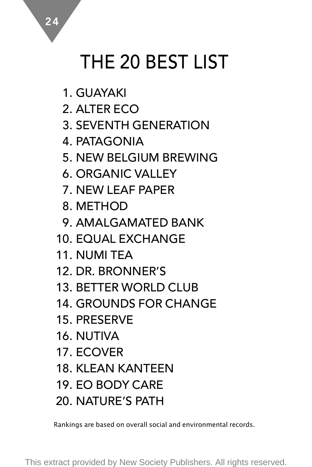# THE 20 BEST LIST

1. GUAYAKI

2. ALTER ECO

3. SEVENTH GENERATION

4. PATAGONIA

5. NEW BELGIUM BREWING

6. ORGANIC VALLEY

7. NEW LEAF PAPER

8. METHOD

9. AMALGAMATED BANK

10. EQUAL EXCHANGE

11. NUMI TEA

12. DR. BRONNER'S

13. BETTER WORLD CLUB

14. GROUNDS FOR CHANGE

15. PRESERVE

16. NUTIVA

17. ECOVER

18. KLEAN KANTEEN

19. EO BODY CARE

20. NATURE'S PATH

Rankings are based on overall social and environmental records.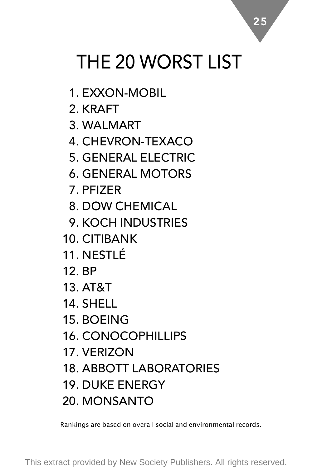# THE 20 WORST LIST

- 1. EXXON-MOBIL
- 2. KRAFT
- 3. WALMART
- 4. CHEVRON-TEXACO
- 5. GENERAL ELECTRIC
- 6. GENERAL MOTORS
- 7. PFIZER
- 8. DOW CHEMICAL
- 9. KOCH INDUSTRIES
- 10. CITIBANK
- 11. NESTLÉ
- 12. BP
- 13. AT&T
- 14. SHELL
- 15. BOEING
- 16. CONOCOPHILLIPS
- 17. VERIZON
- 18. ABBOTT LABORATORIES
- 19. DUKE ENERGY
- 20. MONSANTO

Rankings are based on overall social and environmental records.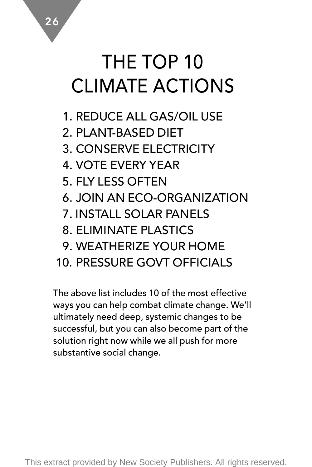## THE TOP 10 CLIMATE ACTIONS

1. REDUCE ALL GAS/OIL USE

2. PLANT-BASED DIET

3. CONSERVE ELECTRICITY

- 4. VOTE EVERY YEAR
- 5. FLY LESS OFTEN
- 6. JOIN AN ECO-ORGANIZATION
- 7. INSTALL SOLAR PANELS
- 8. ELIMINATE PLASTICS
- 9. WEATHERIZE YOUR HOME
- 10. PRESSURE GOVT OFFICIALS

The above list includes 10 of the most effective ways you can help combat climate change. We'll ultimately need deep, systemic changes to be successful, but you can also become part of the solution right now while we all push for more substantive social change.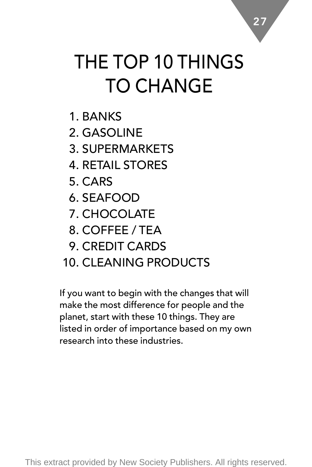# THE TOP 10 THINGS TO CHANGE

- 1. BANKS
- 2. GASOLINE
- 3. SUPERMARKETS
- 4. RETAIL STORES
- 5. CARS
- 6. SEAFOOD
- 7. CHOCOLATE
- 8. COFFEE / TEA
- 9. CREDIT CARDS
- 10. CLEANING PRODUCTS

If you want to begin with the changes that will make the most difference for people and the planet, start with these 10 things. They are listed in order of importance based on my own research into these industries.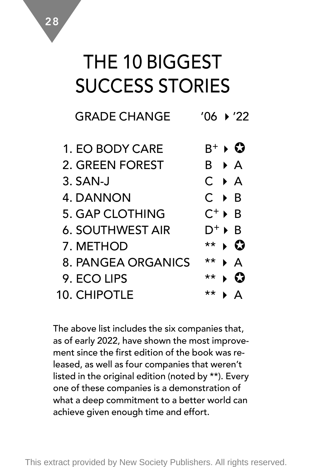### THE 10 BIGGEST SUCCESS STORIES

| <b>GRADE CHANGE</b>     | ′06 ▶ '22                          |
|-------------------------|------------------------------------|
| 1. EO BODY CARE         | $\mathrm{B}^+$ ) $\mathbf{\Omega}$ |
| 2. GREEN FOREST         | R DA                               |
| 3. SAN-J                | $C \rightarrow A$                  |
| 4. DANNON               | C ▶ B                              |
| 5. GAP CLOTHING         | $C^+ \triangleright B$             |
| <b>6. SOUTHWEST AIR</b> | $D^+ \triangleright B$             |
| 7. METHOD               | । Ω<br>**                          |
| 8. PANGEA ORGANICS      | **<br>∙ А                          |
| 9. ECO LIPS             | **<br>63                           |
| 10. CHIPOTLE            | **                                 |
|                         |                                    |

The above list includes the six companies that, as of early 2022, have shown the most improvement since the first edition of the book was released, as well as four companies that weren't listed in the original edition (noted by \*\*). Every one of these companies is a demonstration of what a deep commitment to a better world can achieve given enough time and effort.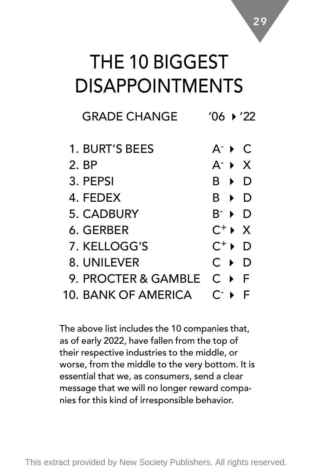### THE 10 BIGGEST DISAPPOINTMENTS

| <b>GRADE CHANGE</b> | ′06 ▶ ′22                              |
|---------------------|----------------------------------------|
| 1. BURT'S BEES      | $A^ \rightarrow$ C                     |
| 2. BP               | $A^ \rightarrow$ $X$                   |
| 3. PEPSI            | B ▶<br>D                               |
| 4. FFDFX            | R ▶<br>D                               |
| 5. CADBURY          | $\mathsf{B}^-\blacktriangleright$<br>D |
| 6. GERBER           | $C^+$ $\rightarrow X$                  |
| 7. KELLOGG'S        | $C^+$ $\blacktriangleright$<br>D       |
| 8. UNILEVER         | $C \rightarrow$<br>D                   |
| 9. PROCTER & GAMBLE | $C \rightarrow$<br>- F                 |
| 10. BANK OF AMERICA | C÷                                     |

The above list includes the 10 companies that, as of early 2022, have fallen from the top of their respective industries to the middle, or worse, from the middle to the very bottom. It is essential that we, as consumers, send a clear message that we will no longer reward companies for this kind of irresponsible behavior.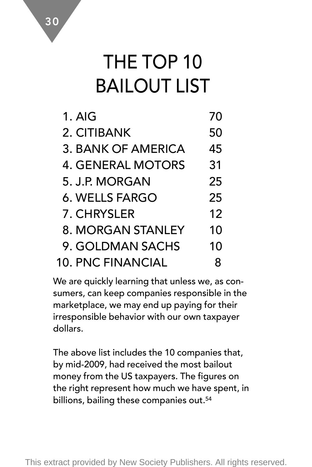### THE TOP 10 BAILOUT LIST

| $1.$ AIG                 | 70 |
|--------------------------|----|
| 2. CITIBANK              | 50 |
| 3. BANK OF AMERICA       | 45 |
| 4. GENERAL MOTORS        | 31 |
| 5. J.P. MORGAN           | 25 |
| 6. WELLS FARGO           | 25 |
| 7. CHRYSLER              | 12 |
| 8. MORGAN STANLEY        | 10 |
| 9. GOLDMAN SACHS         | 10 |
| <b>10. PNC FINANCIAL</b> | 8  |

We are quickly learning that unless we, as consumers, can keep companies responsible in the marketplace, we may end up paying for their irresponsible behavior with our own taxpayer dollars.

The above list includes the 10 companies that, by mid-2009, had received the most bailout money from the US taxpayers. The figures on the right represent how much we have spent, in billions, bailing these companies out.<sup>54</sup>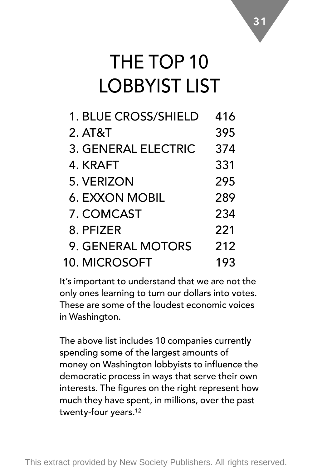### THE TOP 10 LOBBYIST LIST

| 1. BLUE CROSS/SHIELD | 416 |
|----------------------|-----|
| 2. AT&T              | 395 |
| 3. GENERAL ELECTRIC  | 374 |
| 4. KRAFT             | 331 |
| 5. VERIZON           | 295 |
| 6. EXXON MOBIL       | 289 |
| 7. COMCAST           | 234 |
| 8. PFIZER            | 221 |
| 9. GENERAL MOTORS    | 212 |
| 10. MICROSOFT        | 193 |

It's important to understand that we are not the only ones learning to turn our dollars into votes. These are some of the loudest economic voices in Washington.

The above list includes 10 companies currently spending some of the largest amounts of money on Washington lobbyists to influence the democratic process in ways that serve their own interests. The figures on the right represent how much they have spent, in millions, over the past twenty-four years.12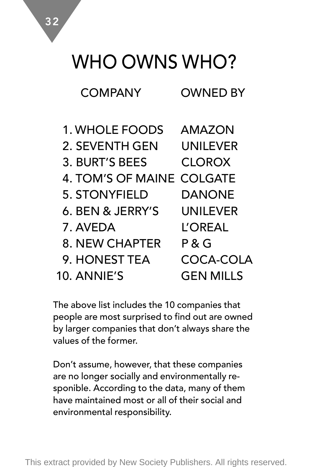### WHO OWNS WHO?

| 1. WHOLE FOODS            | AMAZON          |
|---------------------------|-----------------|
| 2. SEVENTH GEN            | <b>UNILEVER</b> |
| 3. BURT'S BEES            | <b>CLOROX</b>   |
| 4. TOM'S OF MAINE COLGATE |                 |
| 5. STONYFIELD             | DANONF          |
| 6. BEN & JERRY'S          | UNILEVER        |
| 7. AVEDA                  | L'OREAL         |
| 8. NEW CHAPTER            | P & G           |
| 9. HONEST TEA             | COCA-COLA       |
| 10. ANNIF'S               | GEN MILLS       |

The above list includes the 10 companies that people are most surprised to find out are owned by larger companies that don't always share the values of the former.

Don't assume, however, that these companies are no longer socially and environmentally responible. According to the data, many of them have maintained most or all of their social and environmental responsibility.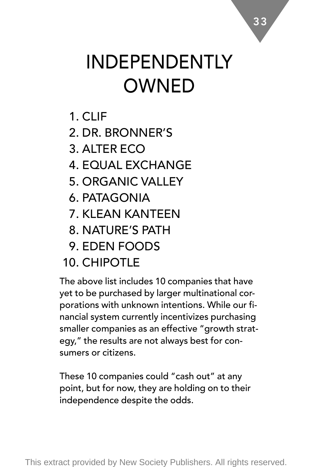# INDEPENDENTLY **OWNED**

- 1. CLIF
- 2. DR. BRONNER'S
- 3. ALTER ECO
- 4. EQUAL EXCHANGE
- 5. ORGANIC VALLEY
- 6. PATAGONIA
- 7. KLEAN KANTEEN
- 8. NATURE'S PATH
- 9. EDEN FOODS
- 10 CHIPOTI F

The above list includes 10 companies that have yet to be purchased by larger multinational corporations with unknown intentions. While our financial system currently incentivizes purchasing smaller companies as an effective "growth strategy," the results are not always best for consumers or citizens.

These 10 companies could "cash out" at any point, but for now, they are holding on to their independence despite the odds.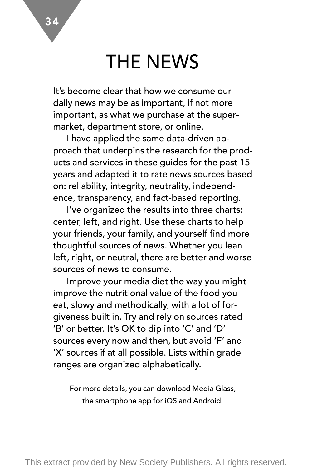### THE NEWS

It's become clear that how we consume our daily news may be as important, if not more important, as what we purchase at the supermarket, department store, or online.

I have applied the same data-driven approach that underpins the research for the products and services in these guides for the past 15 years and adapted it to rate news sources based on: reliability, integrity, neutrality, independence, transparency, and fact-based reporting.

I've organized the results into three charts: center, left, and right. Use these charts to help your friends, your family, and yourself find more thoughtful sources of news. Whether you lean left, right, or neutral, there are better and worse sources of news to consume.

Improve your media diet the way you might improve the nutritional value of the food you eat, slowy and methodically, with a lot of forgiveness built in. Try and rely on sources rated 'B' or better. It's OK to dip into 'C' and 'D' sources every now and then, but avoid 'F' and 'X' sources if at all possible. Lists within grade ranges are organized alphabetically.

For more details, you can download Media Glass, the smartphone app for iOS and Android.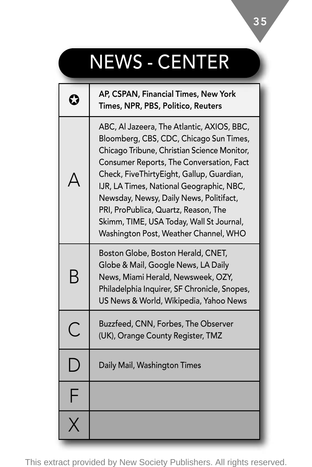# NEWS - CENTER

|                         | AP, CSPAN, Financial Times, New York<br>Times, NPR, PBS, Politico, Reuters                                                                                                                                                                                                                                                                                                                                                                        |
|-------------------------|---------------------------------------------------------------------------------------------------------------------------------------------------------------------------------------------------------------------------------------------------------------------------------------------------------------------------------------------------------------------------------------------------------------------------------------------------|
|                         | ABC, Al Jazeera, The Atlantic, AXIOS, BBC,<br>Bloomberg, CBS, CDC, Chicago Sun Times,<br>Chicago Tribune, Christian Science Monitor,<br>Consumer Reports, The Conversation, Fact<br>Check, FiveThirtyEight, Gallup, Guardian,<br>IJR, LA Times, National Geographic, NBC,<br>Newsday, Newsy, Daily News, Politifact,<br>PRI, ProPublica, Quartz, Reason, The<br>Skimm, TIME, USA Today, Wall St Journal,<br>Washington Post, Weather Channel, WHO |
| В                       | Boston Globe, Boston Herald, CNET,<br>Globe & Mail, Google News, LA Daily<br>News, Miami Herald, Newsweek, OZY,<br>Philadelphia Inquirer, SF Chronicle, Snopes,<br>US News & World, Wikipedia, Yahoo News                                                                                                                                                                                                                                         |
| $\overline{\mathsf{C}}$ | Buzzfeed, CNN, Forbes, The Observer<br>(UK), Orange County Register, TMZ                                                                                                                                                                                                                                                                                                                                                                          |
| $\Box$                  | Daily Mail, Washington Times                                                                                                                                                                                                                                                                                                                                                                                                                      |
| F                       |                                                                                                                                                                                                                                                                                                                                                                                                                                                   |
|                         |                                                                                                                                                                                                                                                                                                                                                                                                                                                   |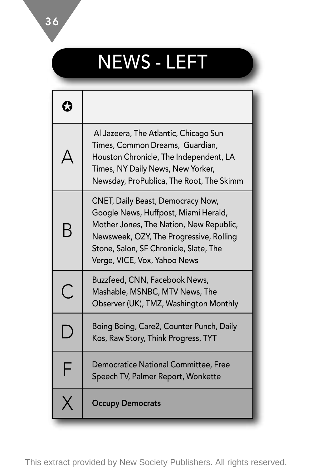# NEWS - LEFT

| Ω |                                                                                                                                                                                                                                           |
|---|-------------------------------------------------------------------------------------------------------------------------------------------------------------------------------------------------------------------------------------------|
|   | Al Jazeera, The Atlantic, Chicago Sun<br>Times, Common Dreams, Guardian,<br>Houston Chronicle, The Independent, LA<br>Times, NY Daily News, New Yorker,<br>Newsday, ProPublica, The Root, The Skimm                                       |
| B | CNET, Daily Beast, Democracy Now,<br>Google News, Huffpost, Miami Herald,<br>Mother Jones, The Nation, New Republic,<br>Newsweek, OZY, The Progressive, Rolling<br>Stone, Salon, SF Chronicle, Slate, The<br>Verge, VICE, Vox, Yahoo News |
| С | Buzzfeed, CNN, Facebook News,<br>Mashable, MSNBC, MTV News, The<br>Observer (UK), TMZ, Washington Monthly                                                                                                                                 |
| D | Boing Boing, Care2, Counter Punch, Daily<br>Kos, Raw Story, Think Progress, TYT                                                                                                                                                           |
| F | Democratice National Committee, Free<br>Speech TV, Palmer Report, Wonkette                                                                                                                                                                |
|   | <b>Occupy Democrats</b>                                                                                                                                                                                                                   |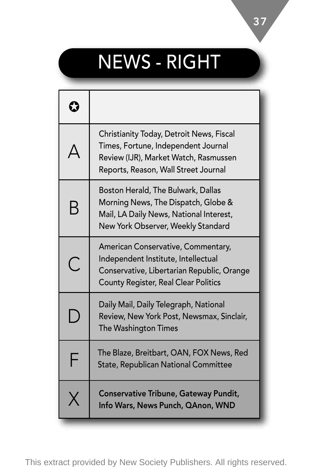# NEWS - RIGHT

| Ω                       |                                                                                                                                                                  |
|-------------------------|------------------------------------------------------------------------------------------------------------------------------------------------------------------|
|                         | Christianity Today, Detroit News, Fiscal<br>Times, Fortune, Independent Journal<br>Review (IJR), Market Watch, Rasmussen<br>Reports, Reason, Wall Street Journal |
| B                       | Boston Herald, The Bulwark, Dallas<br>Morning News, The Dispatch, Globe &<br>Mail, LA Daily News, National Interest,<br>New York Observer, Weekly Standard       |
| $\widehat{\phantom{a}}$ | American Conservative, Commentary,<br>Independent Institute, Intellectual<br>Conservative, Libertarian Republic, Orange<br>County Register, Real Clear Politics  |
| ۲                       | Daily Mail, Daily Telegraph, National<br>Review, New York Post, Newsmax, Sinclair,<br>The Washington Times                                                       |
| F                       | The Blaze, Breitbart, OAN, FOX News, Red<br><b>State, Republican National Committee</b>                                                                          |
|                         | Conservative Tribune, Gateway Pundit,<br>Info Wars, News Punch, QAnon, WND                                                                                       |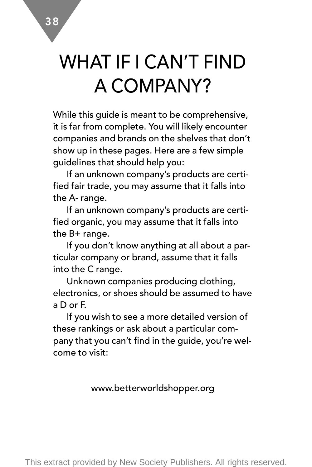## WHAT IF I CAN'T FIND A COMPANY?

While this guide is meant to be comprehensive, it is far from complete. You will likely encounter companies and brands on the shelves that don't show up in these pages. Here are a few simple guidelines that should help you:

If an unknown company's products are certified fair trade, you may assume that it falls into the A- range.

If an unknown company's products are certified organic, you may assume that it falls into the  $B+$  range.

If you don't know anything at all about a particular company or brand, assume that it falls into the C range.

Unknown companies producing clothing, electronics, or shoes should be assumed to have a D or F.

If you wish to see a more detailed version of these rankings or ask about a particular company that you can't find in the guide, you're welcome to visit:

#### www.betterworldshopper.org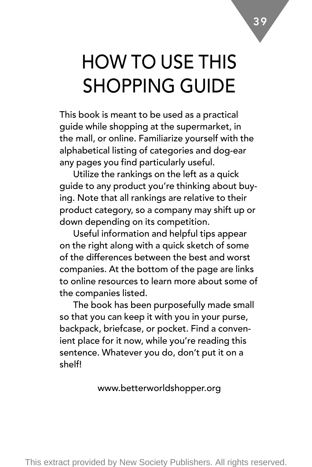# HOW TO USE THIS SHOPPING GUIDE

This book is meant to be used as a practical guide while shopping at the supermarket, in the mall, or online. Familiarize yourself with the alphabetical listing of categories and dog-ear any pages you find particularly useful.

Utilize the rankings on the left as a quick guide to any product you're thinking about buying. Note that all rankings are relative to their product category, so a company may shift up or down depending on its competition.

Useful information and helpful tips appear on the right along with a quick sketch of some of the differences between the best and worst companies. At the bottom of the page are links to online resources to learn more about some of the companies listed.

The book has been purposefully made small so that you can keep it with you in your purse, backpack, briefcase, or pocket. Find a convenient place for it now, while you're reading this sentence. Whatever you do, don't put it on a shelf!

#### www.betterworldshopper.org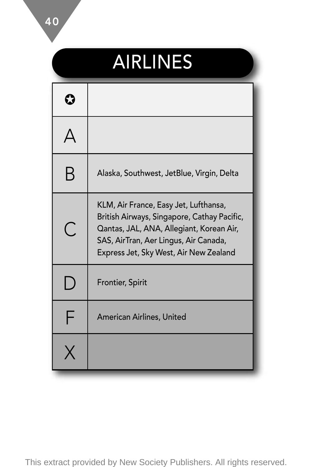# AIRLINES

| Β | Alaska, Southwest, JetBlue, Virgin, Delta                                                                                                                                                                           |
|---|---------------------------------------------------------------------------------------------------------------------------------------------------------------------------------------------------------------------|
| C | KLM, Air France, Easy Jet, Lufthansa,<br>British Airways, Singapore, Cathay Pacific,<br>Qantas, JAL, ANA, Allegiant, Korean Air,<br>SAS, AirTran, Aer Lingus, Air Canada,<br>Express Jet, Sky West, Air New Zealand |
| D | Frontier, Spirit                                                                                                                                                                                                    |
| F | American Airlines, United                                                                                                                                                                                           |
|   |                                                                                                                                                                                                                     |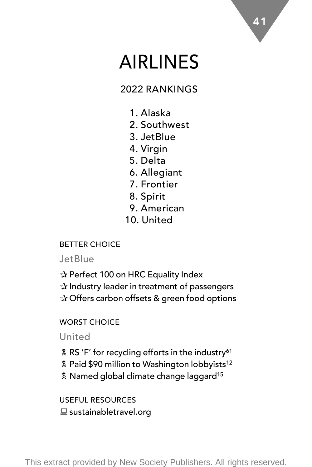### AIRLINES

### 2022 RANKINGS

- 1. Alaska
- 2. Southwest
- 3. JetBlue
- 4. Virgin
- 5. Delta
- 6. Allegiant
- 7. Frontier
- 8. Spirit
- 9. American
- 10. United

### BETTER CHOICE

### **JetBlue**

✰ Perfect 100 on HRC Equality Index ✰ Industry leader in treatment of passengers ✰ Offers carbon offsets & green food options

### WORST CHOICE

### United

- & RS 'F' for recycling efforts in the industry<sup>61</sup>
- **2** Paid \$90 million to Washington lobbyists<sup>12</sup>
- **A** Named global climate change laggard<sup>15</sup>

USEFUL RESOURCES  $\equiv$  sustainabletravel.org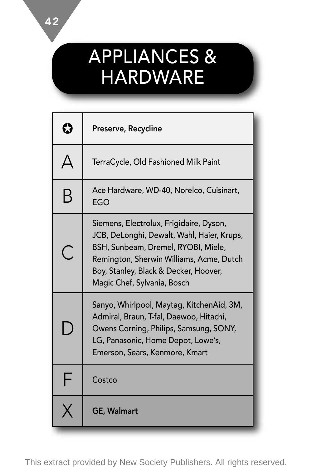### APPLIANCES & HARDWARE

|    | Preserve, Recycline                                                                                                                                                                                                                              |
|----|--------------------------------------------------------------------------------------------------------------------------------------------------------------------------------------------------------------------------------------------------|
|    | TerraCycle, Old Fashioned Milk Paint                                                                                                                                                                                                             |
| B  | Ace Hardware, WD-40, Norelco, Cuisinart,<br>EGO                                                                                                                                                                                                  |
| C  | Siemens, Electrolux, Frigidaire, Dyson,<br>JCB, DeLonghi, Dewalt, Wahl, Haier, Krups,<br>BSH, Sunbeam, Dremel, RYOBI, Miele,<br>Remington, Sherwin Williams, Acme, Dutch<br>Boy, Stanley, Black & Decker, Hoover,<br>Magic Chef, Sylvania, Bosch |
| J. | Sanyo, Whirlpool, Maytag, KitchenAid, 3M,<br>Admiral, Braun, T-fal, Daewoo, Hitachi,<br>Owens Corning, Philips, Samsung, SONY,<br>LG, Panasonic, Home Depot, Lowe's,<br>Emerson, Sears, Kenmore, Kmart                                           |
| F  | Costco                                                                                                                                                                                                                                           |
|    | <b>GE, Walmart</b>                                                                                                                                                                                                                               |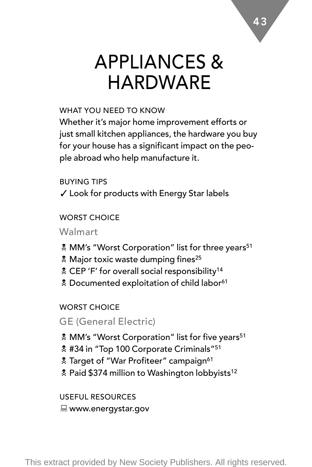### APPLIANCES & HARDWARE

#### WHAT YOU NEED TO KNOW

Whether it's major home improvement efforts or just small kitchen appliances, the hardware you buy for your house has a significant impact on the people abroad who help manufacture it.

BUYING TIPS ✓ Look for products with Energy Star labels

#### WORST CHOICE

Walmart

- & MM's "Worst Corporation" list for three years<sup>51</sup>
- **A** Major toxic waste dumping fines<sup>25</sup>
- & CEP 'F' for overall social responsibility<sup>14</sup>
- **2** Documented exploitation of child labor<sup>61</sup>

WORST CHOICE

GE (General Electric)

- **& MM's "Worst Corporation" list for five years**<sup>51</sup>
- $*$  #34 in "Top 100 Corporate Criminals"<sup>51</sup>
- **Z** Target of "War Profiteer" campaign<sup>61</sup>
- **2** Paid \$374 million to Washington lobbyists<sup>12</sup>

USEFUL RESOURCES ■ www.energystar.gov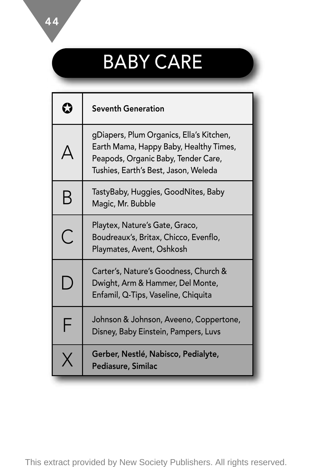# BABY CARE

|   | <b>Seventh Generation</b>                                                                                                                                         |
|---|-------------------------------------------------------------------------------------------------------------------------------------------------------------------|
|   | gDiapers, Plum Organics, Ella's Kitchen,<br>Earth Mama, Happy Baby, Healthy Times,<br>Peapods, Organic Baby, Tender Care,<br>Tushies, Earth's Best, Jason, Weleda |
| B | TastyBaby, Huggies, GoodNites, Baby<br>Magic, Mr. Bubble                                                                                                          |
| Ć | Playtex, Nature's Gate, Graco,<br>Boudreaux's, Britax, Chicco, Evenflo,<br>Playmates, Avent, Oshkosh                                                              |
| D | Carter's, Nature's Goodness, Church &<br>Dwight, Arm & Hammer, Del Monte,<br>Enfamil, Q-Tips, Vaseline, Chiquita                                                  |
| F | Johnson & Johnson, Aveeno, Coppertone,<br>Disney, Baby Einstein, Pampers, Luvs                                                                                    |
| X | Gerber, Nestlé, Nabisco, Pedialyte,<br>Pediasure, Similac                                                                                                         |